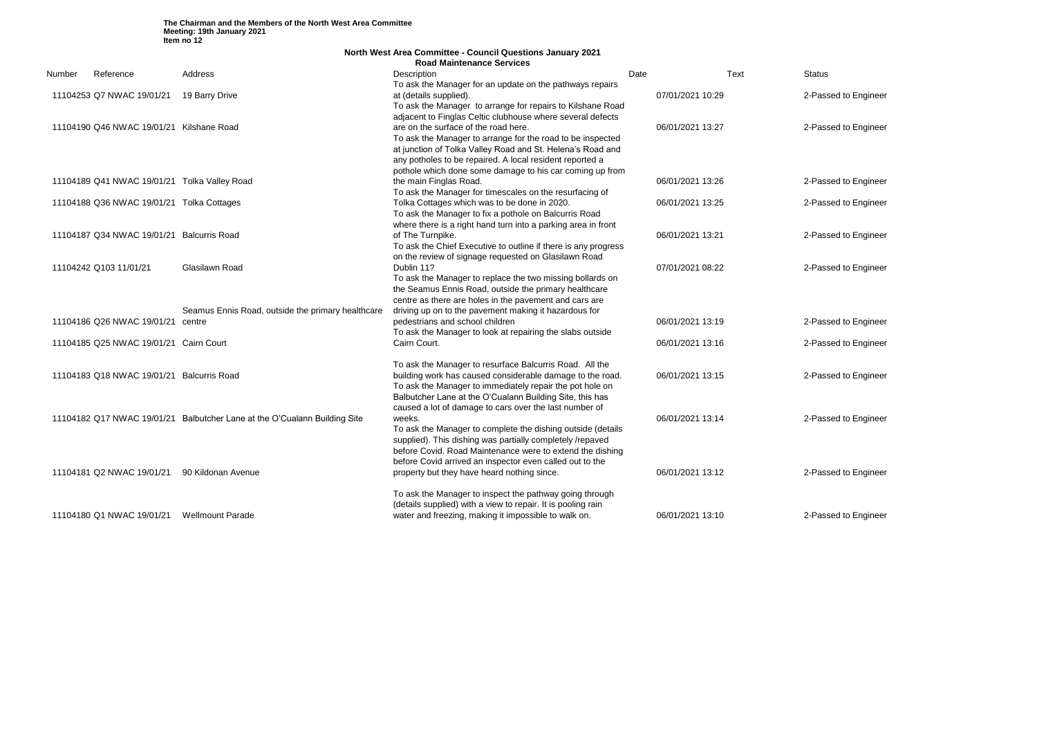|        | <b>North West Area Committee - Council Questions January 2021</b> |                                                                           |                                                                |      |                  |               |
|--------|-------------------------------------------------------------------|---------------------------------------------------------------------------|----------------------------------------------------------------|------|------------------|---------------|
|        |                                                                   |                                                                           | <b>Road Maintenance Services</b>                               |      |                  |               |
| Number | Reference                                                         | Address                                                                   | Description                                                    | Date | Text             | <b>Status</b> |
|        |                                                                   |                                                                           | To ask the Manager for an update on the pathways repairs       |      |                  |               |
|        | 11104253 Q7 NWAC 19/01/21                                         | 19 Barry Drive                                                            | at (details supplied).                                         |      | 07/01/2021 10:29 | 2-Pass        |
|        |                                                                   |                                                                           | To ask the Manager to arrange for repairs to Kilshane Road     |      |                  |               |
|        |                                                                   |                                                                           | adjacent to Finglas Celtic clubhouse where several defects     |      |                  |               |
|        | 11104190 Q46 NWAC 19/01/21 Kilshane Road                          |                                                                           | are on the surface of the road here.                           |      | 06/01/2021 13:27 | 2-Pass        |
|        |                                                                   |                                                                           | To ask the Manager to arrange for the road to be inspected     |      |                  |               |
|        |                                                                   |                                                                           | at junction of Tolka Valley Road and St. Helena's Road and     |      |                  |               |
|        |                                                                   |                                                                           | any potholes to be repaired. A local resident reported a       |      |                  |               |
|        |                                                                   |                                                                           | pothole which done some damage to his car coming up from       |      |                  |               |
|        | 11104189 Q41 NWAC 19/01/21 Tolka Valley Road                      |                                                                           | the main Finglas Road.                                         |      | 06/01/2021 13:26 | 2-Pass        |
|        |                                                                   |                                                                           | To ask the Manager for timescales on the resurfacing of        |      |                  |               |
|        | 11104188 Q36 NWAC 19/01/21 Tolka Cottages                         |                                                                           | Tolka Cottages which was to be done in 2020.                   |      | 06/01/2021 13:25 | 2-Pass        |
|        |                                                                   |                                                                           | To ask the Manager to fix a pothole on Balcurris Road          |      |                  |               |
|        |                                                                   |                                                                           | where there is a right hand turn into a parking area in front  |      |                  |               |
|        | 11104187 Q34 NWAC 19/01/21                                        | <b>Balcurris Road</b>                                                     | of The Turnpike.                                               |      | 06/01/2021 13:21 | 2-Pass        |
|        |                                                                   |                                                                           | To ask the Chief Executive to outline if there is any progress |      |                  |               |
|        |                                                                   |                                                                           | on the review of signage requested on Glasilawn Road           |      |                  |               |
|        | 11104242 Q103 11/01/21                                            | Glasilawn Road                                                            | Dublin 11?                                                     |      | 07/01/2021 08:22 | 2-Pass        |
|        |                                                                   |                                                                           | To ask the Manager to replace the two missing bollards on      |      |                  |               |
|        |                                                                   |                                                                           | the Seamus Ennis Road, outside the primary healthcare          |      |                  |               |
|        |                                                                   |                                                                           | centre as there are holes in the pavement and cars are         |      |                  |               |
|        |                                                                   | Seamus Ennis Road, outside the primary healthcare                         | driving up on to the pavement making it hazardous for          |      |                  |               |
|        | 11104186 Q26 NWAC 19/01/21                                        | centre                                                                    | pedestrians and school children                                |      | 06/01/2021 13:19 | 2-Pass        |
|        |                                                                   |                                                                           | To ask the Manager to look at repairing the slabs outside      |      |                  |               |
|        | 11104185 Q25 NWAC 19/01/21 Cairn Court                            |                                                                           | Cairn Court.                                                   |      | 06/01/2021 13:16 | 2-Pass        |
|        |                                                                   |                                                                           |                                                                |      |                  |               |
|        |                                                                   |                                                                           | To ask the Manager to resurface Balcurris Road. All the        |      |                  |               |
|        | 11104183 Q18 NWAC 19/01/21                                        | <b>Balcurris Road</b>                                                     | building work has caused considerable damage to the road.      |      | 06/01/2021 13:15 | 2-Pass        |
|        |                                                                   |                                                                           | To ask the Manager to immediately repair the pot hole on       |      |                  |               |
|        |                                                                   |                                                                           | Balbutcher Lane at the O'Cualann Building Site, this has       |      |                  |               |
|        |                                                                   |                                                                           | caused a lot of damage to cars over the last number of         |      |                  |               |
|        |                                                                   | 11104182 Q17 NWAC 19/01/21 Balbutcher Lane at the O'Cualann Building Site | weeks.                                                         |      | 06/01/2021 13:14 | 2-Pass        |
|        |                                                                   |                                                                           | To ask the Manager to complete the dishing outside (details    |      |                  |               |
|        |                                                                   |                                                                           | supplied). This dishing was partially completely /repaved      |      |                  |               |
|        |                                                                   |                                                                           | before Covid. Road Maintenance were to extend the dishing      |      |                  |               |
|        |                                                                   |                                                                           | before Covid arrived an inspector even called out to the       |      |                  |               |
|        | 11104181 Q2 NWAC 19/01/21                                         | 90 Kildonan Avenue                                                        | property but they have heard nothing since.                    |      | 06/01/2021 13:12 | 2-Pass        |
|        |                                                                   |                                                                           |                                                                |      |                  |               |
|        |                                                                   |                                                                           | To ask the Manager to inspect the pathway going through        |      |                  |               |
|        |                                                                   |                                                                           | (details supplied) with a view to repair. It is pooling rain   |      |                  |               |
|        | 11104180 Q1 NWAC 19/01/21                                         | <b>Wellmount Parade</b>                                                   | water and freezing, making it impossible to walk on.           |      | 06/01/2021 13:10 | 2-Pass        |
|        |                                                                   |                                                                           |                                                                |      |                  |               |

2-Passed to Engineer

2-Passed to Engineer

2-Passed to Engineer

2-Passed to Engineer

2-Passed to Engineer

2-Passed to Engineer

2-Passed to Engineer

2-Passed to Engineer

2-Passed to Engineer

2-Passed to Engineer

2-Passed to Engineer

2-Passed to Engineer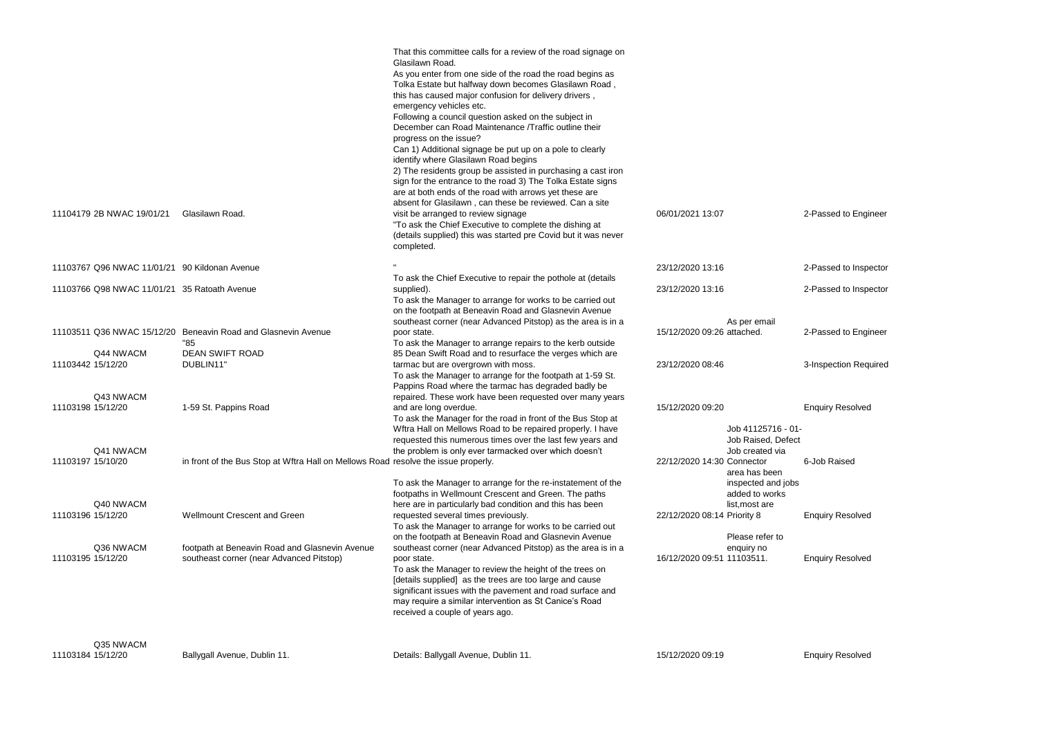| 11104179 2B NWAC 19/01/21                     | Glasilawn Road.                                                                            | That this committee calls for a review of the road signage on<br>Glasilawn Road.<br>As you enter from one side of the road the road begins as<br>Tolka Estate but halfway down becomes Glasilawn Road,<br>this has caused major confusion for delivery drivers,<br>emergency vehicles etc.<br>Following a council question asked on the subject in<br>December can Road Maintenance /Traffic outline their<br>progress on the issue?<br>Can 1) Additional signage be put up on a pole to clearly<br>identify where Glasilawn Road begins<br>2) The residents group be assisted in purchasing a cast iron<br>sign for the entrance to the road 3) The Tolka Estate signs<br>are at both ends of the road with arrows yet these are<br>absent for Glasilawn, can these be reviewed. Can a site<br>visit be arranged to review signage<br>"To ask the Chief Executive to complete the dishing at<br>(details supplied) this was started pre Covid but it was never<br>completed. | 06/01/2021 13:07            |                                                                         |
|-----------------------------------------------|--------------------------------------------------------------------------------------------|-------------------------------------------------------------------------------------------------------------------------------------------------------------------------------------------------------------------------------------------------------------------------------------------------------------------------------------------------------------------------------------------------------------------------------------------------------------------------------------------------------------------------------------------------------------------------------------------------------------------------------------------------------------------------------------------------------------------------------------------------------------------------------------------------------------------------------------------------------------------------------------------------------------------------------------------------------------------------------|-----------------------------|-------------------------------------------------------------------------|
| 11103767 Q96 NWAC 11/01/21 90 Kildonan Avenue |                                                                                            |                                                                                                                                                                                                                                                                                                                                                                                                                                                                                                                                                                                                                                                                                                                                                                                                                                                                                                                                                                               | 23/12/2020 13:16            |                                                                         |
| 11103766 Q98 NWAC 11/01/21 35 Ratoath Avenue  |                                                                                            | To ask the Chief Executive to repair the pothole at (details<br>supplied).<br>To ask the Manager to arrange for works to be carried out<br>on the footpath at Beneavin Road and Glasnevin Avenue                                                                                                                                                                                                                                                                                                                                                                                                                                                                                                                                                                                                                                                                                                                                                                              | 23/12/2020 13:16            |                                                                         |
|                                               | 11103511 Q36 NWAC 15/12/20 Beneavin Road and Glasnevin Avenue<br>"85                       | southeast corner (near Advanced Pitstop) as the area is in a<br>poor state.<br>To ask the Manager to arrange repairs to the kerb outside                                                                                                                                                                                                                                                                                                                                                                                                                                                                                                                                                                                                                                                                                                                                                                                                                                      | 15/12/2020 09:26 attached.  | As per email                                                            |
| Q44 NWACM<br>11103442 15/12/20                | <b>DEAN SWIFT ROAD</b><br>DUBLIN11"                                                        | 85 Dean Swift Road and to resurface the verges which are<br>tarmac but are overgrown with moss.<br>To ask the Manager to arrange for the footpath at 1-59 St.<br>Pappins Road where the tarmac has degraded badly be                                                                                                                                                                                                                                                                                                                                                                                                                                                                                                                                                                                                                                                                                                                                                          | 23/12/2020 08:46            |                                                                         |
| Q43 NWACM<br>11103198 15/12/20                | 1-59 St. Pappins Road                                                                      | repaired. These work have been requested over many years<br>and are long overdue.<br>To ask the Manager for the road in front of the Bus Stop at<br>Wftra Hall on Mellows Road to be repaired properly. I have                                                                                                                                                                                                                                                                                                                                                                                                                                                                                                                                                                                                                                                                                                                                                                | 15/12/2020 09:20            | Job 41125716 -                                                          |
| Q41 NWACM<br>11103197 15/10/20                | in front of the Bus Stop at Wftra Hall on Mellows Road resolve the issue properly.         | requested this numerous times over the last few years and<br>the problem is only ever tarmacked over which doesn't                                                                                                                                                                                                                                                                                                                                                                                                                                                                                                                                                                                                                                                                                                                                                                                                                                                            | 22/12/2020 14:30 Connector  | Job Raised, Def<br>Job created via<br>area has been                     |
| Q40 NWACM<br>11103196 15/12/20                | <b>Wellmount Crescent and Green</b>                                                        | To ask the Manager to arrange for the re-instatement of the<br>footpaths in Wellmount Crescent and Green. The paths<br>here are in particularly bad condition and this has been<br>requested several times previously.<br>To ask the Manager to arrange for works to be carried out<br>on the footpath at Beneavin Road and Glasnevin Avenue                                                                                                                                                                                                                                                                                                                                                                                                                                                                                                                                                                                                                                  | 22/12/2020 08:14 Priority 8 | inspected and jo<br>added to works<br>list, most are<br>Please refer to |
| Q36 NWACM<br>11103195 15/12/20                | footpath at Beneavin Road and Glasnevin Avenue<br>southeast corner (near Advanced Pitstop) | southeast corner (near Advanced Pitstop) as the area is in a<br>poor state.<br>To ask the Manager to review the height of the trees on<br>[details supplied] as the trees are too large and cause<br>significant issues with the pavement and road surface and<br>may require a similar intervention as St Canice's Road<br>received a couple of years ago.                                                                                                                                                                                                                                                                                                                                                                                                                                                                                                                                                                                                                   | 16/12/2020 09:51 11103511.  | enquiry no                                                              |
| Q35 NWACM                                     |                                                                                            |                                                                                                                                                                                                                                                                                                                                                                                                                                                                                                                                                                                                                                                                                                                                                                                                                                                                                                                                                                               |                             |                                                                         |

11103184 15/12/20

Ballygall Avenue, Dublin 11.

Details: Ballygall Avenue, Dublin 11. 15/12/2020 09:19 15/12/2020 09:19

2-Passed to Engineer

2-Passed to Inspector

2-Passed to Inspector

2-Passed to Engineer

3-Inspection Required

Enquiry Resolved

16 - 01-Defect via 6-Job Raised

nd jobs

**Enquiry Resolved**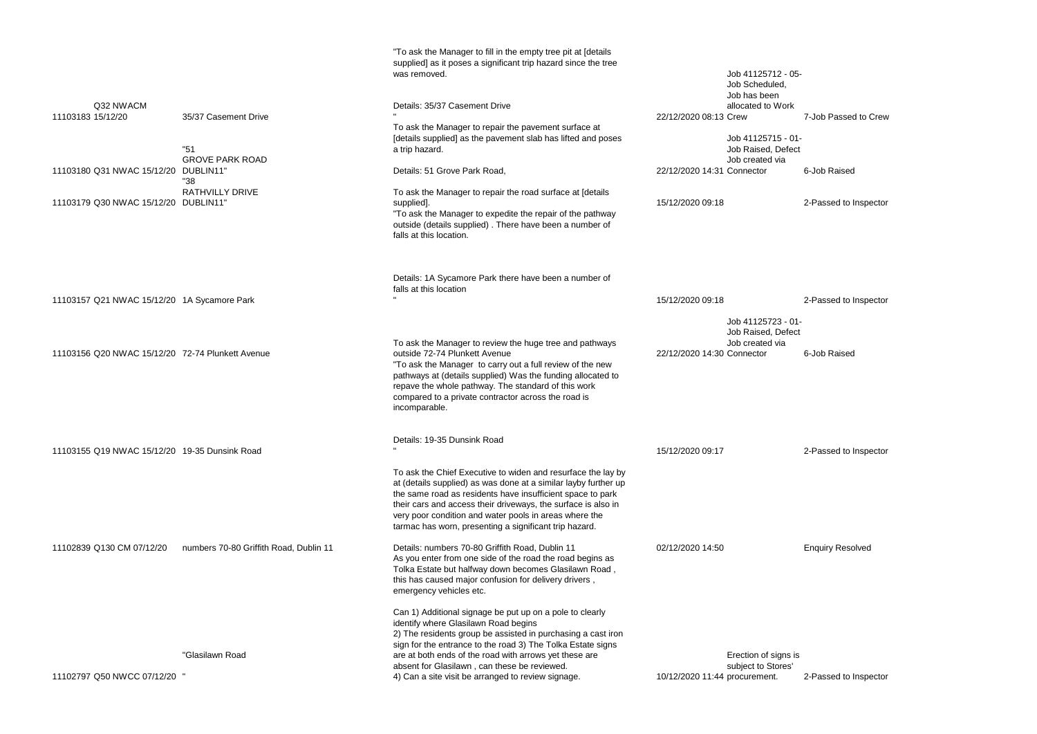|                                                  |                                        | "To ask the Manager to fill in the empty tree pit at [details<br>supplied] as it poses a significant trip hazard since the tree<br>was removed.                                                                                                                                                                                                                                                 |                               | Job 41125712 - 0<br>Job Scheduled,<br>Job has been       |
|--------------------------------------------------|----------------------------------------|-------------------------------------------------------------------------------------------------------------------------------------------------------------------------------------------------------------------------------------------------------------------------------------------------------------------------------------------------------------------------------------------------|-------------------------------|----------------------------------------------------------|
| Q32 NWACM<br>11103183 15/12/20                   | 35/37 Casement Drive                   | Details: 35/37 Casement Drive                                                                                                                                                                                                                                                                                                                                                                   | 22/12/2020 08:13 Crew         | allocated to Work                                        |
|                                                  | "51<br><b>GROVE PARK ROAD</b>          | To ask the Manager to repair the pavement surface at<br>[details supplied] as the pavement slab has lifted and poses<br>a trip hazard.                                                                                                                                                                                                                                                          |                               | Job 41125715 - 0<br>Job Raised, Defer<br>Job created via |
| 11103180 Q31 NWAC 15/12/20 DUBLIN11"             | "38                                    | Details: 51 Grove Park Road,                                                                                                                                                                                                                                                                                                                                                                    | 22/12/2020 14:31 Connector    |                                                          |
| 11103179 Q30 NWAC 15/12/20 DUBLIN11"             | <b>RATHVILLY DRIVE</b>                 | To ask the Manager to repair the road surface at [details<br>supplied].<br>"To ask the Manager to expedite the repair of the pathway<br>outside (details supplied). There have been a number of<br>falls at this location.                                                                                                                                                                      | 15/12/2020 09:18              |                                                          |
| 11103157 Q21 NWAC 15/12/20 1A Sycamore Park      |                                        | Details: 1A Sycamore Park there have been a number of<br>falls at this location                                                                                                                                                                                                                                                                                                                 | 15/12/2020 09:18              |                                                          |
|                                                  |                                        |                                                                                                                                                                                                                                                                                                                                                                                                 |                               | Job 41125723 - 0                                         |
| 11103156 Q20 NWAC 15/12/20 72-74 Plunkett Avenue |                                        | To ask the Manager to review the huge tree and pathways<br>outside 72-74 Plunkett Avenue<br>"To ask the Manager to carry out a full review of the new<br>pathways at (details supplied) Was the funding allocated to<br>repave the whole pathway. The standard of this work<br>compared to a private contractor across the road is<br>incomparable.                                             | 22/12/2020 14:30 Connector    | Job Raised, Defer<br>Job created via                     |
| 11103155 Q19 NWAC 15/12/20 19-35 Dunsink Road    |                                        | Details: 19-35 Dunsink Road                                                                                                                                                                                                                                                                                                                                                                     | 15/12/2020 09:17              |                                                          |
|                                                  |                                        | To ask the Chief Executive to widen and resurface the lay by<br>at (details supplied) as was done at a similar layby further up<br>the same road as residents have insufficient space to park<br>their cars and access their driveways, the surface is also in<br>very poor condition and water pools in areas where the<br>tarmac has worn, presenting a significant trip hazard.              |                               |                                                          |
| 11102839 Q130 CM 07/12/20                        | numbers 70-80 Griffith Road, Dublin 11 | Details: numbers 70-80 Griffith Road, Dublin 11<br>As you enter from one side of the road the road begins as<br>Tolka Estate but halfway down becomes Glasilawn Road,<br>this has caused major confusion for delivery drivers,<br>emergency vehicles etc.                                                                                                                                       | 02/12/2020 14:50              |                                                          |
| 11102797 Q50 NWCC 07/12/20 "                     | "Glasilawn Road                        | Can 1) Additional signage be put up on a pole to clearly<br>identify where Glasilawn Road begins<br>2) The residents group be assisted in purchasing a cast iron<br>sign for the entrance to the road 3) The Tolka Estate signs<br>are at both ends of the road with arrows yet these are<br>absent for Glasilawn, can these be reviewed.<br>4) Can a site visit be arranged to review signage. | 10/12/2020 11:44 procurement. | Erection of signs i<br>subject to Stores'                |

```
05-
rk7-Job Passed to Crew
01 -ect
   6-Job Raised
```
2-Passed to Inspector

2-Passed to Inspector

```
01 -ect
   6-Job Raised
```
2-Passed to Inspector

Enquiry Resolved

; is 2-Passed to Inspector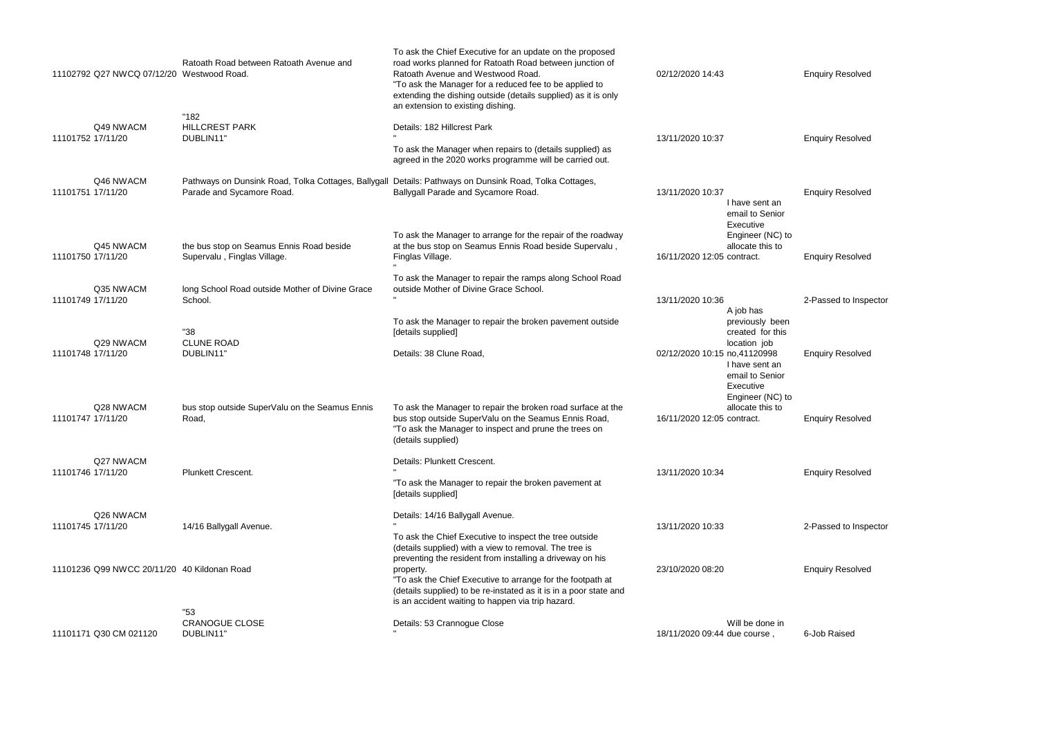| 11102792 Q27 NWCQ 07/12/20 Westwood Road.   | Ratoath Road between Ratoath Avenue and                                          | To ask the Chief Executive for an update on the proposed<br>road works planned for Ratoath Road between junction of<br>Ratoath Avenue and Westwood Road.<br>"To ask the Manager for a reduced fee to be applied to<br>extending the dishing outside (details supplied) as it is only<br>an extension to existing dishing. | 02/12/2020 14:43                                                                                                                      | <b>Enquiry Resolved</b> |
|---------------------------------------------|----------------------------------------------------------------------------------|---------------------------------------------------------------------------------------------------------------------------------------------------------------------------------------------------------------------------------------------------------------------------------------------------------------------------|---------------------------------------------------------------------------------------------------------------------------------------|-------------------------|
| Q49 NWACM<br>11101752 17/11/20              | "182<br><b>HILLCREST PARK</b><br>DUBLIN11"                                       | Details: 182 Hillcrest Park<br>To ask the Manager when repairs to (details supplied) as<br>agreed in the 2020 works programme will be carried out.                                                                                                                                                                        | 13/11/2020 10:37                                                                                                                      | <b>Enquiry Resolved</b> |
| Q46 NWACM<br>11101751 17/11/20              | Pathways on Dunsink Road, Tolka Cottages, Ballygall<br>Parade and Sycamore Road. | Details: Pathways on Dunsink Road, Tolka Cottages,<br>Ballygall Parade and Sycamore Road.                                                                                                                                                                                                                                 | 13/11/2020 10:37<br>I have sent an<br>email to Senior<br>Executive                                                                    | <b>Enquiry Resolved</b> |
| Q45 NWACM<br>11101750 17/11/20              | the bus stop on Seamus Ennis Road beside<br>Supervalu, Finglas Village.          | To ask the Manager to arrange for the repair of the roadway<br>at the bus stop on Seamus Ennis Road beside Supervalu,<br>Finglas Village.                                                                                                                                                                                 | Engineer (NC) to<br>allocate this to<br>16/11/2020 12:05 contract.                                                                    | <b>Enquiry Resolved</b> |
| Q35 NWACM<br>11101749 17/11/20              | long School Road outside Mother of Divine Grace<br>School.                       | To ask the Manager to repair the ramps along School Road<br>outside Mother of Divine Grace School.                                                                                                                                                                                                                        | 13/11/2020 10:36<br>A job has                                                                                                         | 2-Passed to Inspector   |
| Q29 NWACM<br>11101748 17/11/20              | "38<br><b>CLUNE ROAD</b><br>DUBLIN11"                                            | To ask the Manager to repair the broken pavement outside<br>[details supplied]<br>Details: 38 Clune Road,                                                                                                                                                                                                                 | previously been<br>created for this<br>location job<br>02/12/2020 10:15 no,41120998<br>I have sent an<br>email to Senior<br>Executive | <b>Enquiry Resolved</b> |
| Q28 NWACM<br>11101747 17/11/20              | bus stop outside SuperValu on the Seamus Ennis<br>Road,                          | To ask the Manager to repair the broken road surface at the<br>bus stop outside SuperValu on the Seamus Ennis Road,<br>"To ask the Manager to inspect and prune the trees on<br>(details supplied)                                                                                                                        | Engineer (NC) to<br>allocate this to<br>16/11/2020 12:05 contract.                                                                    | <b>Enquiry Resolved</b> |
| Q27 NWACM<br>11101746 17/11/20              | <b>Plunkett Crescent.</b>                                                        | Details: Plunkett Crescent.<br>"To ask the Manager to repair the broken pavement at<br>[details supplied]                                                                                                                                                                                                                 | 13/11/2020 10:34                                                                                                                      | <b>Enquiry Resolved</b> |
| Q26 NWACM<br>11101745 17/11/20              | 14/16 Ballygall Avenue.                                                          | Details: 14/16 Ballygall Avenue.<br>To ask the Chief Executive to inspect the tree outside<br>(details supplied) with a view to removal. The tree is                                                                                                                                                                      | 13/11/2020 10:33                                                                                                                      | 2-Passed to Inspector   |
| 11101236 Q99 NWCC 20/11/20 40 Kildonan Road |                                                                                  | preventing the resident from installing a driveway on his<br>property.<br>"To ask the Chief Executive to arrange for the footpath at<br>(details supplied) to be re-instated as it is in a poor state and<br>is an accident waiting to happen via trip hazard.                                                            | 23/10/2020 08:20                                                                                                                      | <b>Enquiry Resolved</b> |
| 11101171 Q30 CM 021120                      | "53<br><b>CRANOGUE CLOSE</b><br>DUBLIN11"                                        | Details: 53 Crannogue Close                                                                                                                                                                                                                                                                                               | Will be done in<br>18/11/2020 09:44 due course,                                                                                       | 6-Job Raised            |

|                                                                                                         | <b>Enquiry Resolved</b> |
|---------------------------------------------------------------------------------------------------------|-------------------------|
|                                                                                                         | <b>Enquiry Resolved</b> |
| I have sent an<br>email to Senior                                                                       | <b>Enquiry Resolved</b> |
| <b>Executive</b><br>Engineer (NC) to<br>allocate this to<br>contract.                                   | <b>Enquiry Resolved</b> |
| A job has                                                                                               | 2-Passed to Inspector   |
| previously been<br>created for this<br>location job<br>no,41120998<br>I have sent an<br>email to Senior | <b>Enquiry Resolved</b> |
| <b>Executive</b><br>Engineer (NC) to<br>allocate this to<br>contract.                                   | <b>Enquiry Resolved</b> |
|                                                                                                         | <b>Enquiry Resolved</b> |
|                                                                                                         | 2-Passed to Inspector   |
|                                                                                                         | <b>Enquiry Resolved</b> |
| Mill ha dana in                                                                                         |                         |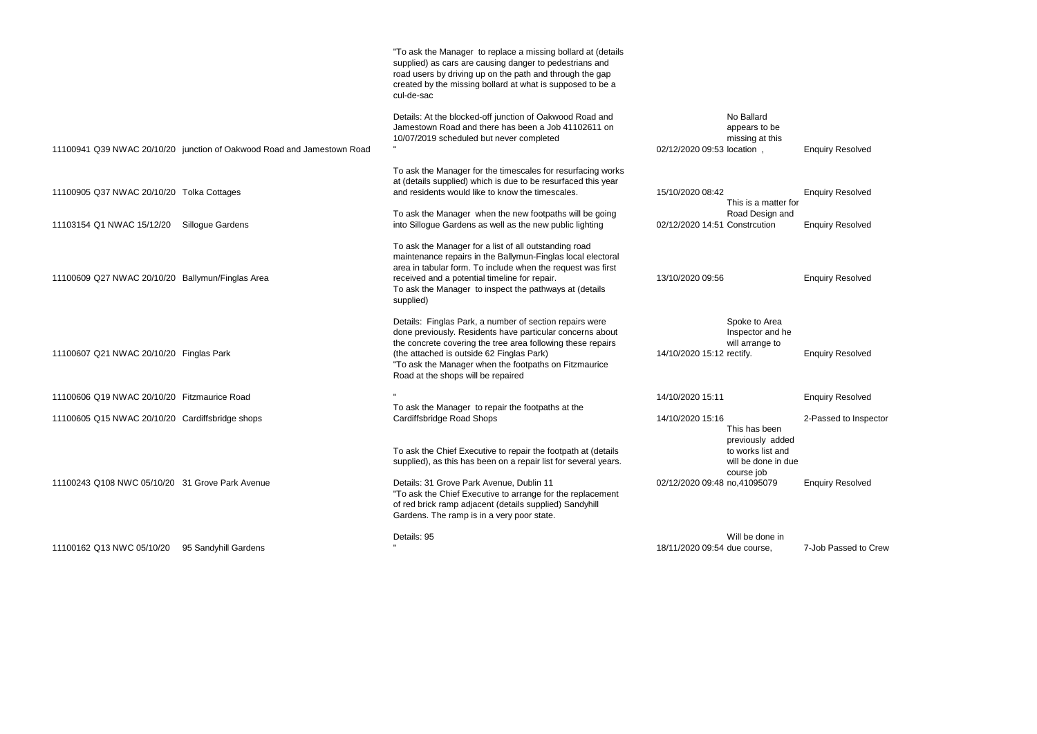|                                                  |                                                                        | "To ask the Manager to replace a missing bollard at (details<br>supplied) as cars are causing danger to pedestrians and<br>road users by driving up on the path and through the gap<br>created by the missing bollard at what is supposed to be a<br>cul-de-sac                                                                 |                               |                                                                        |
|--------------------------------------------------|------------------------------------------------------------------------|---------------------------------------------------------------------------------------------------------------------------------------------------------------------------------------------------------------------------------------------------------------------------------------------------------------------------------|-------------------------------|------------------------------------------------------------------------|
|                                                  | 11100941 Q39 NWAC 20/10/20 junction of Oakwood Road and Jamestown Road | Details: At the blocked-off junction of Oakwood Road and<br>Jamestown Road and there has been a Job 41102611 on<br>10/07/2019 scheduled but never completed                                                                                                                                                                     | 02/12/2020 09:53 location,    | No Ballard<br>appears to be<br>missing at this                         |
| 11100905 Q37 NWAC 20/10/20 Tolka Cottages        |                                                                        | To ask the Manager for the timescales for resurfacing works<br>at (details supplied) which is due to be resurfaced this year<br>and residents would like to know the timescales.                                                                                                                                                | 15/10/2020 08:42              | This is a matter                                                       |
| 11103154 Q1 NWAC 15/12/20                        | <b>Sillogue Gardens</b>                                                | To ask the Manager when the new footpaths will be going<br>into Sillogue Gardens as well as the new public lighting                                                                                                                                                                                                             | 02/12/2020 14:51 Constrcution | Road Design ar                                                         |
| 11100609 Q27 NWAC 20/10/20 Ballymun/Finglas Area |                                                                        | To ask the Manager for a list of all outstanding road<br>maintenance repairs in the Ballymun-Finglas local electoral<br>area in tabular form. To include when the request was first<br>received and a potential timeline for repair.<br>To ask the Manager to inspect the pathways at (details<br>supplied)                     | 13/10/2020 09:56              |                                                                        |
| 11100607 Q21 NWAC 20/10/20 Finglas Park          |                                                                        | Details: Finglas Park, a number of section repairs were<br>done previously. Residents have particular concerns about<br>the concrete covering the tree area following these repairs<br>(the attached is outside 62 Finglas Park)<br>"To ask the Manager when the footpaths on Fitzmaurice<br>Road at the shops will be repaired | 14/10/2020 15:12 rectify.     | Spoke to Area<br>Inspector and h<br>will arrange to                    |
| 11100606 Q19 NWAC 20/10/20 Fitzmaurice Road      |                                                                        |                                                                                                                                                                                                                                                                                                                                 | 14/10/2020 15:11              |                                                                        |
| 11100605 Q15 NWAC 20/10/20 Cardiffsbridge shops  |                                                                        | To ask the Manager to repair the footpaths at the<br>Cardiffsbridge Road Shops                                                                                                                                                                                                                                                  | 14/10/2020 15:16              | This has been                                                          |
|                                                  |                                                                        | To ask the Chief Executive to repair the footpath at (details<br>supplied), as this has been on a repair list for several years.                                                                                                                                                                                                |                               | previously add<br>to works list and<br>will be done in a<br>course job |
| 11100243 Q108 NWC 05/10/20 31 Grove Park Avenue  |                                                                        | Details: 31 Grove Park Avenue, Dublin 11<br>"To ask the Chief Executive to arrange for the replacement<br>of red brick ramp adjacent (details supplied) Sandyhill<br>Gardens. The ramp is in a very poor state.                                                                                                                 | 02/12/2020 09:48 no,41095079  |                                                                        |
| 11100162 Q13 NWC 05/10/20                        | 95 Sandyhill Gardens                                                   | Details: 95                                                                                                                                                                                                                                                                                                                     | 18/11/2020 09:54 due course,  | Will be done in                                                        |

Enquiry Resolved

er for  $and$ 

**Enquiry Resolved** 

**Enquiry Resolved** 

he

**Enquiry Resolved** 

**Enquiry Resolved** 

2-Passed to Inspector

ded ነd due

**Enquiry Resolved** 

7-Job Passed to Crew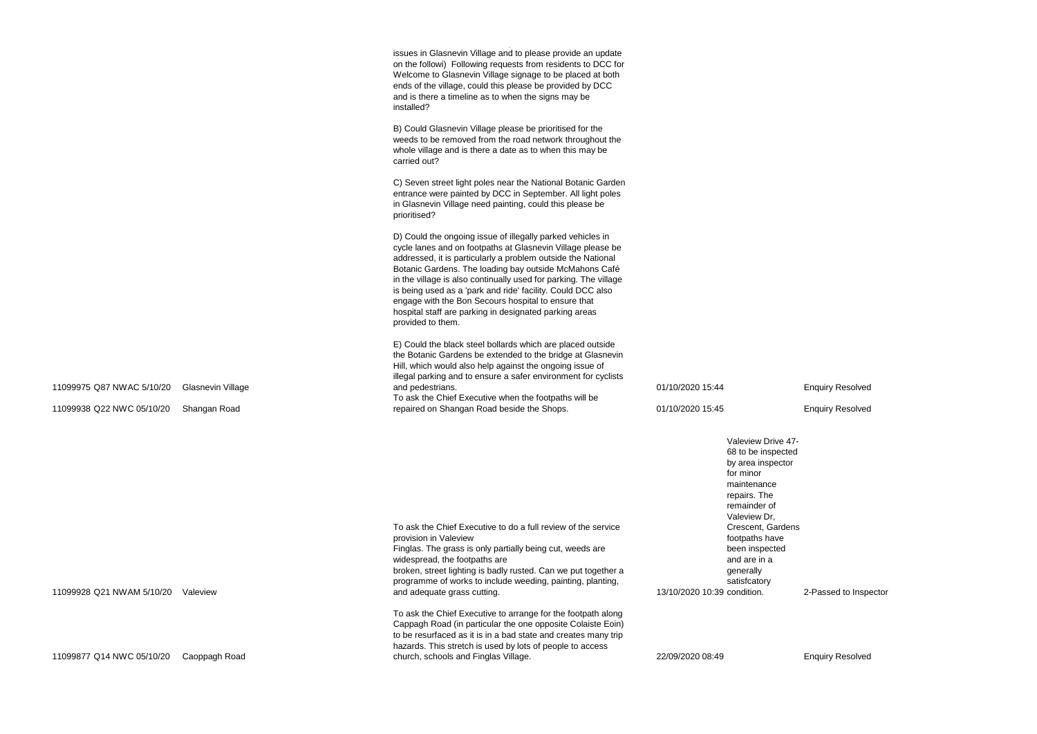|                           |                          | issues in Glasnevin Village and to please provide an update<br>on the followi) Following requests from residents to DCC for<br>Welcome to Glasnevin Village signage to be placed at both<br>ends of the village, could this please be provided by DCC<br>and is there a timeline as to when the signs may be<br>installed?                                                                                                                                                                                                   |                                                                                                                                      |
|---------------------------|--------------------------|------------------------------------------------------------------------------------------------------------------------------------------------------------------------------------------------------------------------------------------------------------------------------------------------------------------------------------------------------------------------------------------------------------------------------------------------------------------------------------------------------------------------------|--------------------------------------------------------------------------------------------------------------------------------------|
|                           |                          | B) Could Glasnevin Village please be prioritised for the<br>weeds to be removed from the road network throughout the<br>whole village and is there a date as to when this may be<br>carried out?                                                                                                                                                                                                                                                                                                                             |                                                                                                                                      |
|                           |                          | C) Seven street light poles near the National Botanic Garden<br>entrance were painted by DCC in September. All light poles<br>in Glasnevin Village need painting, could this please be<br>prioritised?                                                                                                                                                                                                                                                                                                                       |                                                                                                                                      |
|                           |                          | D) Could the ongoing issue of illegally parked vehicles in<br>cycle lanes and on footpaths at Glasnevin Village please be<br>addressed, it is particularly a problem outside the National<br>Botanic Gardens. The loading bay outside McMahons Café<br>in the village is also continually used for parking. The village<br>is being used as a 'park and ride' facility. Could DCC also<br>engage with the Bon Secours hospital to ensure that<br>hospital staff are parking in designated parking areas<br>provided to them. |                                                                                                                                      |
|                           |                          | E) Could the black steel bollards which are placed outside<br>the Botanic Gardens be extended to the bridge at Glasnevin<br>Hill, which would also help against the ongoing issue of<br>illegal parking and to ensure a safer environment for cyclists                                                                                                                                                                                                                                                                       |                                                                                                                                      |
| 11099975 Q87 NWAC 5/10/20 | <b>Glasnevin Village</b> | and pedestrians.<br>To ask the Chief Executive when the footpaths will be                                                                                                                                                                                                                                                                                                                                                                                                                                                    | 01/10/2020 15:44                                                                                                                     |
| 11099938 Q22 NWC 05/10/20 | Shangan Road             | repaired on Shangan Road beside the Shops.                                                                                                                                                                                                                                                                                                                                                                                                                                                                                   | 01/10/2020 15:45                                                                                                                     |
|                           |                          |                                                                                                                                                                                                                                                                                                                                                                                                                                                                                                                              | Valeview Drive 4<br>68 to be inspect<br>by area inspecto<br>for minor<br>maintenance<br>repairs. The<br>remainder of<br>Valeview Dr, |
| 11099928 Q21 NWAM 5/10/20 | Valeview                 | To ask the Chief Executive to do a full review of the service<br>provision in Valeview<br>Finglas. The grass is only partially being cut, weeds are<br>widespread, the footpaths are<br>broken, street lighting is badly rusted. Can we put together a<br>programme of works to include weeding, painting, planting,<br>and adequate grass cutting.                                                                                                                                                                          | Crescent, Garde<br>footpaths have<br>been inspected<br>and are in a<br>generally<br>satisfcatory<br>13/10/2020 10:39 condition.      |
|                           |                          | To ask the Chief Executive to arrange for the footpath along<br>Cappagh Road (in particular the one opposite Colaiste Eoin)<br>to be resurfaced as it is in a bad state and creates many trip<br>hazards. This stretch is used by lots of people to access                                                                                                                                                                                                                                                                   |                                                                                                                                      |
| 11099877 Q14 NWC 05/10/20 | Caoppagh Road            | church, schools and Finglas Village.                                                                                                                                                                                                                                                                                                                                                                                                                                                                                         | 22/09/2020 08:49                                                                                                                     |

**Enquiry Resolved** 

 $.47$ ected ctor

rdens

2-Passed to Inspector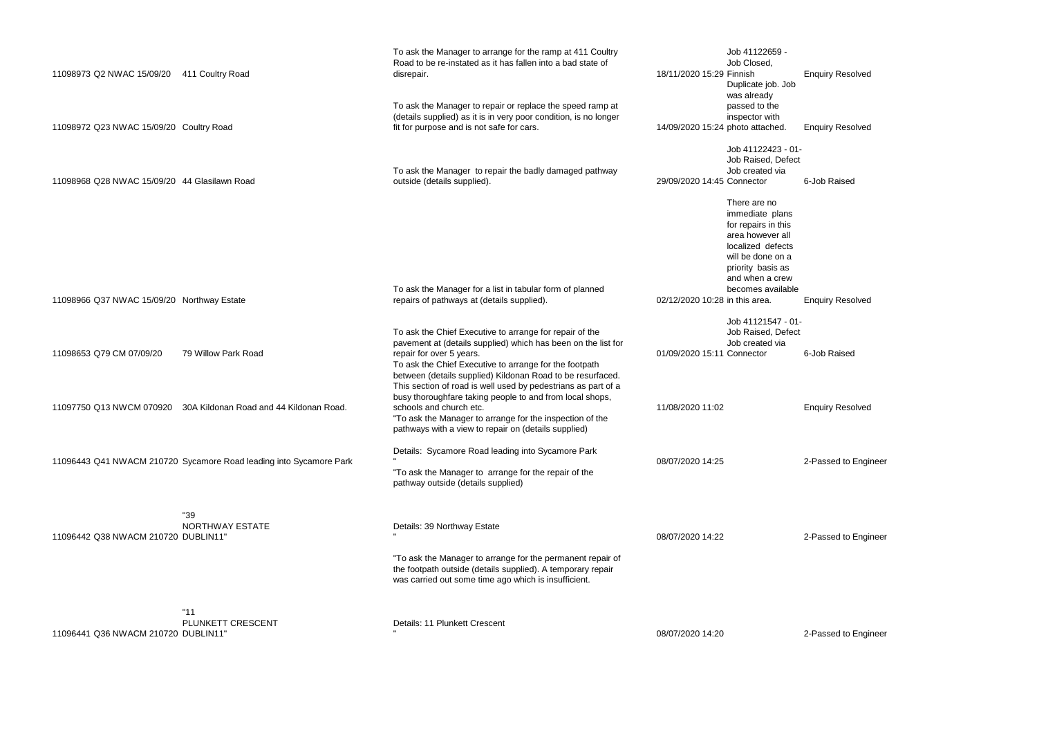| 11098973 Q2 NWAC 15/09/20                    | 411 Coultry Road                                                   | To ask the Manager to arrange for the ramp at 411 Coultry<br>Road to be re-instated as it has fallen into a bad state of<br>disrepair.                                                                                                                                       | Job 41122659 -<br>Job Closed,<br>18/11/2020 15:29 Finnish<br>Duplicate job. Jo                                                                                                                                    |
|----------------------------------------------|--------------------------------------------------------------------|------------------------------------------------------------------------------------------------------------------------------------------------------------------------------------------------------------------------------------------------------------------------------|-------------------------------------------------------------------------------------------------------------------------------------------------------------------------------------------------------------------|
| 11098972 Q23 NWAC 15/09/20 Coultry Road      |                                                                    | To ask the Manager to repair or replace the speed ramp at<br>(details supplied) as it is in very poor condition, is no longer<br>fit for purpose and is not safe for cars.                                                                                                   | was already<br>passed to the<br>inspector with<br>14/09/2020 15:24 photo attached.                                                                                                                                |
| 11098968 Q28 NWAC 15/09/20 44 Glasilawn Road |                                                                    | To ask the Manager to repair the badly damaged pathway<br>outside (details supplied).                                                                                                                                                                                        | Job 41122423 - I<br>Job Raised, Defe<br>Job created via<br>29/09/2020 14:45 Connector                                                                                                                             |
| 11098966 Q37 NWAC 15/09/20 Northway Estate   |                                                                    | To ask the Manager for a list in tabular form of planned<br>repairs of pathways at (details supplied).                                                                                                                                                                       | There are no<br>immediate plans<br>for repairs in this<br>area however all<br>localized defects<br>will be done on a<br>priority basis as<br>and when a crew<br>becomes availab<br>02/12/2020 10:28 in this area. |
| 11098653 Q79 CM 07/09/20                     | 79 Willow Park Road                                                | To ask the Chief Executive to arrange for repair of the<br>pavement at (details supplied) which has been on the list for<br>repair for over 5 years.<br>To ask the Chief Executive to arrange for the footpath<br>between (details supplied) Kildonan Road to be resurfaced. | Job 41121547 - I<br>Job Raised, Defe<br>Job created via<br>01/09/2020 15:11 Connector                                                                                                                             |
| 11097750 Q13 NWCM 070920                     | 30A Kildonan Road and 44 Kildonan Road.                            | This section of road is well used by pedestrians as part of a<br>busy thoroughfare taking people to and from local shops,<br>schools and church etc.<br>"To ask the Manager to arrange for the inspection of the<br>pathways with a view to repair on (details supplied)     | 11/08/2020 11:02                                                                                                                                                                                                  |
|                                              | 11096443 Q41 NWACM 210720 Sycamore Road leading into Sycamore Park | Details: Sycamore Road leading into Sycamore Park<br>"To ask the Manager to arrange for the repair of the<br>pathway outside (details supplied)                                                                                                                              | 08/07/2020 14:25                                                                                                                                                                                                  |
| 11096442 Q38 NWACM 210720 DUBLIN11"          | "39<br><b>NORTHWAY ESTATE</b>                                      | Details: 39 Northway Estate                                                                                                                                                                                                                                                  | 08/07/2020 14:22                                                                                                                                                                                                  |
|                                              |                                                                    | "To ask the Manager to arrange for the permanent repair of<br>the footpath outside (details supplied). A temporary repair<br>was carried out some time ago which is insufficient.                                                                                            |                                                                                                                                                                                                                   |
| 11096441 Q36 NWACM 210720 DUBLIN11"          | "11"<br>PLUNKETT CRESCENT                                          | Details: 11 Plunkett Crescent                                                                                                                                                                                                                                                | 08/07/2020 14:20                                                                                                                                                                                                  |

**Enquiry Resolved** Job ed. Enquiry Resolved  $3 - 01 -$ Jefect ia 6-Job Raised ans his:  $\overline{\phantom{a}}$ all ects  $\mathsf{m}\,\mathsf{a}$ as rew ilable **Enquiry Resolved**  $7 - 01 -$ )efect ia 6-Job Raised

Enquiry Resolved

2-Passed to Engineer

2-Passed to Engineer

2-Passed to Engineer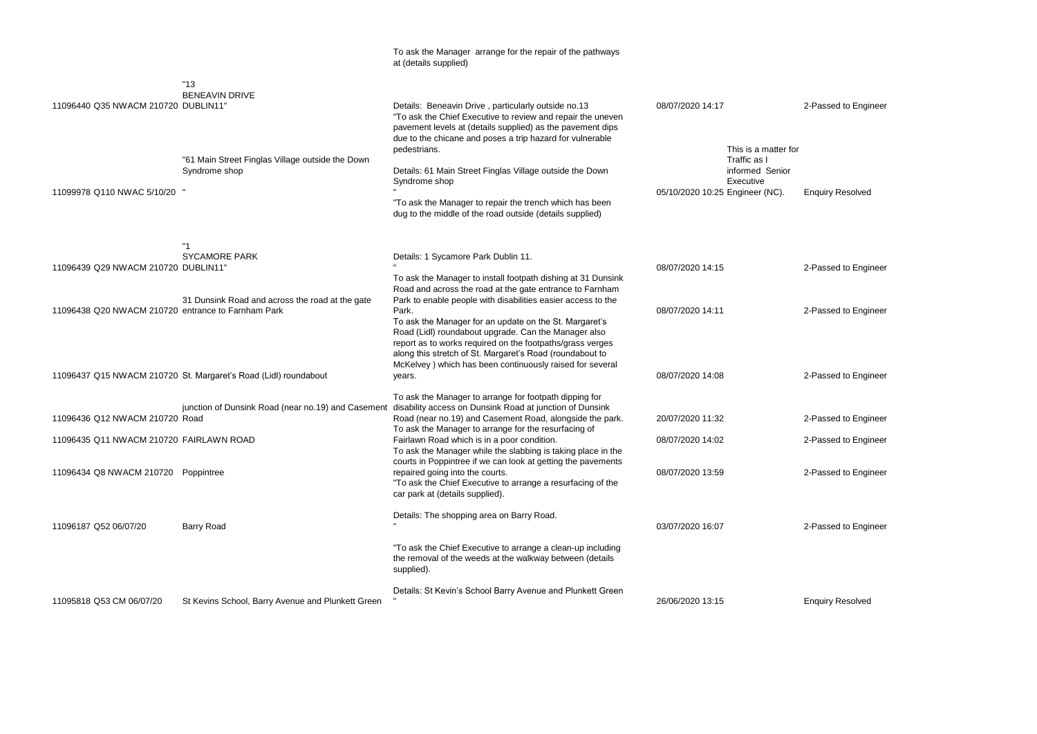|                                                                                           |                                                                   | To ask the Manager arrange for the repair of the pathways<br>at (details supplied)                                                                                                                                                                                                                                                                                                                                                                                                                       |                                                                            |
|-------------------------------------------------------------------------------------------|-------------------------------------------------------------------|----------------------------------------------------------------------------------------------------------------------------------------------------------------------------------------------------------------------------------------------------------------------------------------------------------------------------------------------------------------------------------------------------------------------------------------------------------------------------------------------------------|----------------------------------------------------------------------------|
| 11096440 Q35 NWACM 210720 DUBLIN11"                                                       | "13"<br><b>BENEAVIN DRIVE</b>                                     | Details: Beneavin Drive, particularly outside no.13<br>"To ask the Chief Executive to review and repair the uneven<br>pavement levels at (details supplied) as the pavement dips<br>due to the chicane and poses a trip hazard for vulnerable<br>pedestrians.                                                                                                                                                                                                                                            | 08/07/2020 14:17<br>This is a matt                                         |
| 11099978 Q110 NWAC 5/10/20 "                                                              | "61 Main Street Finglas Village outside the Down<br>Syndrome shop | Details: 61 Main Street Finglas Village outside the Down<br>Syndrome shop<br>"To ask the Manager to repair the trench which has been<br>dug to the middle of the road outside (details supplied)                                                                                                                                                                                                                                                                                                         | Traffic as I<br>informed Ser<br>Executive<br>05/10/2020 10:25 Engineer (NC |
|                                                                                           | <b>SYCAMORE PARK</b>                                              | Details: 1 Sycamore Park Dublin 11.                                                                                                                                                                                                                                                                                                                                                                                                                                                                      |                                                                            |
| 11096439 Q29 NWACM 210720 DUBLIN11"<br>11096438 Q20 NWACM 210720 entrance to Farnham Park | 31 Dunsink Road and across the road at the gate                   | To ask the Manager to install footpath dishing at 31 Dunsink<br>Road and across the road at the gate entrance to Farnham<br>Park to enable people with disabilities easier access to the<br>Park.<br>To ask the Manager for an update on the St. Margaret's<br>Road (Lidl) roundabout upgrade. Can the Manager also<br>report as to works required on the footpaths/grass verges<br>along this stretch of St. Margaret's Road (roundabout to<br>McKelvey) which has been continuously raised for several | 08/07/2020 14:15<br>08/07/2020 14:11                                       |
|                                                                                           | 11096437 Q15 NWACM 210720 St. Margaret's Road (Lidl) roundabout   | years.                                                                                                                                                                                                                                                                                                                                                                                                                                                                                                   | 08/07/2020 14:08                                                           |
| 11096436 Q12 NWACM 210720 Road<br>11096435 Q11 NWACM 210720 FAIRLAWN ROAD                 |                                                                   | To ask the Manager to arrange for footpath dipping for<br>junction of Dunsink Road (near no.19) and Casement disability access on Dunsink Road at junction of Dunsink<br>Road (near no.19) and Casement Road, alongside the park.<br>To ask the Manager to arrange for the resurfacing of<br>Fairlawn Road which is in a poor condition.<br>To ask the Manager while the slabbing is taking place in the                                                                                                 | 20/07/2020 11:32<br>08/07/2020 14:02                                       |
| 11096434 Q8 NWACM 210720 Poppintree                                                       |                                                                   | courts in Poppintree if we can look at getting the pavements<br>repaired going into the courts.<br>"To ask the Chief Executive to arrange a resurfacing of the<br>car park at (details supplied).                                                                                                                                                                                                                                                                                                        | 08/07/2020 13:59                                                           |
| 11096187 Q52 06/07/20                                                                     | <b>Barry Road</b>                                                 | Details: The shopping area on Barry Road.                                                                                                                                                                                                                                                                                                                                                                                                                                                                | 03/07/2020 16:07                                                           |
|                                                                                           |                                                                   | "To ask the Chief Executive to arrange a clean-up including<br>the removal of the weeds at the walkway between (details<br>supplied).                                                                                                                                                                                                                                                                                                                                                                    |                                                                            |
| 11095818 Q53 CM 06/07/20                                                                  | St Kevins School, Barry Avenue and Plunkett Green                 | Details: St Kevin's School Barry Avenue and Plunkett Green                                                                                                                                                                                                                                                                                                                                                                                                                                               | 26/06/2020 13:15                                                           |

2-Passed to Engineer

#### ter for

### hior

C). Enquiry Resolved

2-Passed to Engineer

2-Passed to Engineer

2-Passed to Engineer

2-Passed to Engineer

2-Passed to Engineer

2-Passed to Engineer

2-Passed to Engineer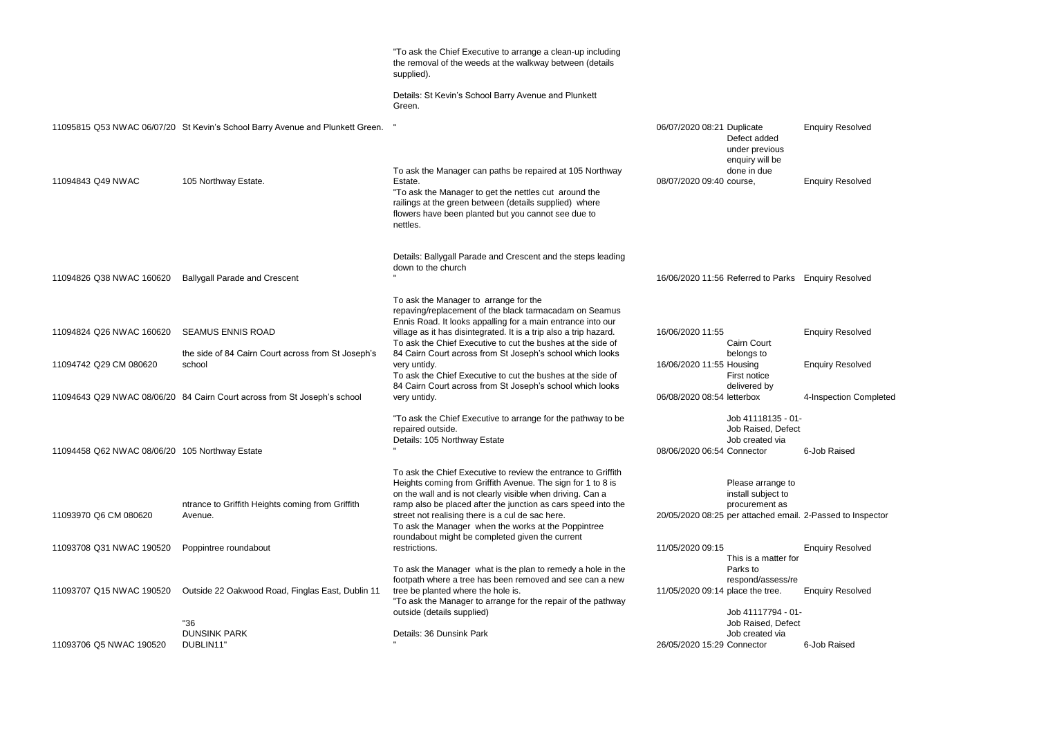|                                                |                                                                                                                                          | "To ask the Chief Executive to arrange a clean-up including<br>the removal of the weeds at the walkway between (details<br>supplied).<br>Details: St Kevin's School Barry Avenue and Plunkett<br>Green.                                                                                                                                                                                                                   |                                                                                                       |
|------------------------------------------------|------------------------------------------------------------------------------------------------------------------------------------------|---------------------------------------------------------------------------------------------------------------------------------------------------------------------------------------------------------------------------------------------------------------------------------------------------------------------------------------------------------------------------------------------------------------------------|-------------------------------------------------------------------------------------------------------|
|                                                | 11095815 Q53 NWAC 06/07/20 St Kevin's School Barry Avenue and Plunkett Green.                                                            |                                                                                                                                                                                                                                                                                                                                                                                                                           | 06/07/2020 08:21 Duplicate<br>Defect added<br>under previous                                          |
| 11094843 Q49 NWAC                              | 105 Northway Estate.                                                                                                                     | To ask the Manager can paths be repaired at 105 Northway<br>Estate.<br>"To ask the Manager to get the nettles cut around the<br>railings at the green between (details supplied) where<br>flowers have been planted but you cannot see due to<br>nettles.                                                                                                                                                                 | enquiry will be<br>done in due<br>08/07/2020 09:40 course,                                            |
| 11094826 Q38 NWAC 160620                       | <b>Ballygall Parade and Crescent</b>                                                                                                     | Details: Ballygall Parade and Crescent and the steps leading<br>down to the church                                                                                                                                                                                                                                                                                                                                        | 16/06/2020 11:56 Referred to Park                                                                     |
| 11094824 Q26 NWAC 160620                       | <b>SEAMUS ENNIS ROAD</b>                                                                                                                 | To ask the Manager to arrange for the<br>repaving/replacement of the black tarmacadam on Seamus<br>Ennis Road. It looks appalling for a main entrance into our<br>village as it has disintegrated. It is a trip also a trip hazard.<br>To ask the Chief Executive to cut the bushes at the side of                                                                                                                        | 16/06/2020 11:55<br><b>Cairn Court</b>                                                                |
| 11094742 Q29 CM 080620                         | the side of 84 Cairn Court across from St Joseph's<br>school<br>11094643 Q29 NWAC 08/06/20 84 Cairn Court across from St Joseph's school | 84 Cairn Court across from St Joseph's school which looks<br>very untidy.<br>To ask the Chief Executive to cut the bushes at the side of<br>84 Cairn Court across from St Joseph's school which looks<br>very untidy.                                                                                                                                                                                                     | belongs to<br>16/06/2020 11:55 Housing<br>First notice<br>delivered by<br>06/08/2020 08:54 letterbox  |
| 11094458 Q62 NWAC 08/06/20 105 Northway Estate |                                                                                                                                          | "To ask the Chief Executive to arrange for the pathway to be<br>repaired outside.<br>Details: 105 Northway Estate                                                                                                                                                                                                                                                                                                         | Job 41118135 -<br>Job Raised, Def<br>Job created via<br>08/06/2020 06:54 Connector                    |
| 11093970 Q6 CM 080620                          | ntrance to Griffith Heights coming from Griffith<br>Avenue.                                                                              | To ask the Chief Executive to review the entrance to Griffith<br>Heights coming from Griffith Avenue. The sign for 1 to 8 is<br>on the wall and is not clearly visible when driving. Can a<br>ramp also be placed after the junction as cars speed into the<br>street not realising there is a cul de sac here.<br>To ask the Manager when the works at the Poppintree<br>roundabout might be completed given the current | Please arrange<br>install subject to<br>procurement as<br>20/05/2020 08:25 per attached em            |
| 11093708 Q31 NWAC 190520                       | Poppintree roundabout                                                                                                                    | restrictions.                                                                                                                                                                                                                                                                                                                                                                                                             | 11/05/2020 09:15                                                                                      |
| 11093707 Q15 NWAC 190520                       | Outside 22 Oakwood Road, Finglas East, Dublin 11                                                                                         | To ask the Manager what is the plan to remedy a hole in the<br>footpath where a tree has been removed and see can a new<br>tree be planted where the hole is.<br>"To ask the Manager to arrange for the repair of the pathway<br>outside (details supplied)                                                                                                                                                               | This is a matter<br>Parks to<br>respond/assess/<br>11/05/2020 09:14 place the tree.<br>Job 41117794 - |
| 11093706 Q5 NWAC 190520                        | "36<br><b>DUNSINK PARK</b><br>DUBLIN11"                                                                                                  | Details: 36 Dunsink Park                                                                                                                                                                                                                                                                                                                                                                                                  | Job Raised, Def<br>Job created via<br>26/05/2020 15:29 Connector                                      |

**Enquiry Resolved** 

arks Enquiry Resolved

Enquiry Resolved

**Enquiry Resolved** 

4-Inspection Completed

 $5 - 01 -$ )efect ia

6-Job Raised

je to  $to$ as email. 2-Passed to Inspector

**Enquiry Resolved** 

er for

ss/re

**Enquiry Resolved** 

 $4 - 01 -$ )efect ia 6-Job Raised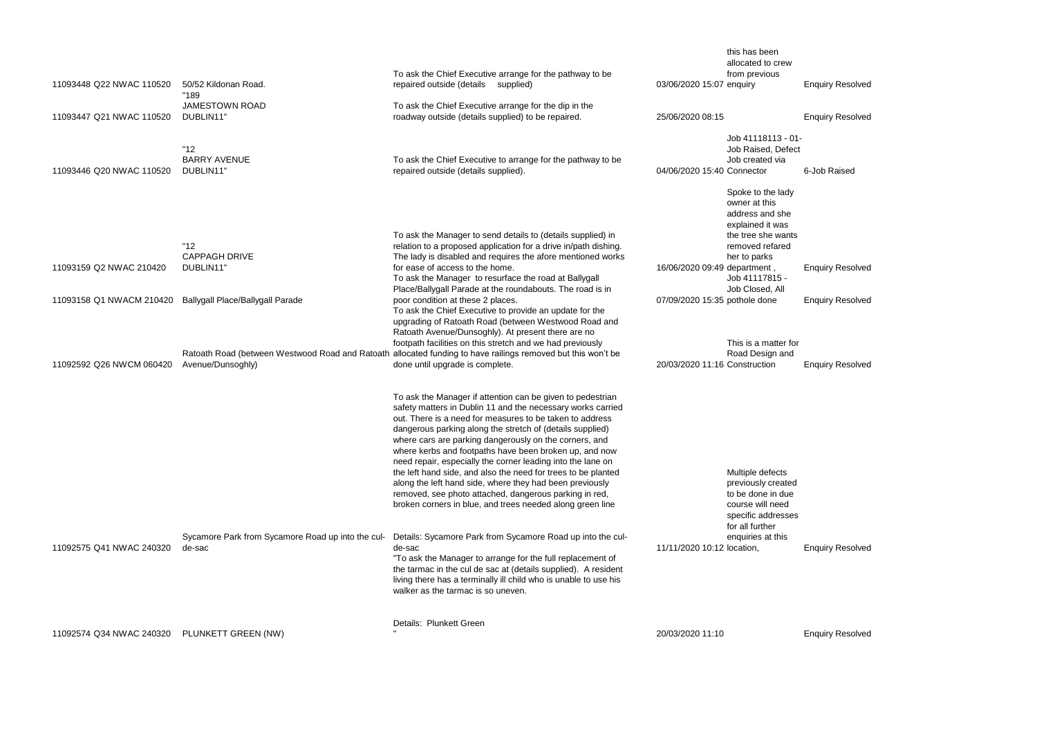| 11093448 Q22 NWAC 110520                     | 50/52 Kildonan Road.<br>"189                                | To ask the Chief Executive arrange for the pathway to be<br>repaired outside (details supplied)                                                                                                                                                                                                                                                                                                                                                                                                                                                                                                                                                                                           | 03/06/2020 15:07 enquiry      | this has been<br>allocated to crew<br>from previous                                                                                                                     |
|----------------------------------------------|-------------------------------------------------------------|-------------------------------------------------------------------------------------------------------------------------------------------------------------------------------------------------------------------------------------------------------------------------------------------------------------------------------------------------------------------------------------------------------------------------------------------------------------------------------------------------------------------------------------------------------------------------------------------------------------------------------------------------------------------------------------------|-------------------------------|-------------------------------------------------------------------------------------------------------------------------------------------------------------------------|
| 11093447 Q21 NWAC 110520                     | <b>JAMESTOWN ROAD</b><br>DUBLIN11"                          | To ask the Chief Executive arrange for the dip in the<br>roadway outside (details supplied) to be repaired.                                                                                                                                                                                                                                                                                                                                                                                                                                                                                                                                                                               | 25/06/2020 08:15              |                                                                                                                                                                         |
| 11093446 Q20 NWAC 110520                     | "12"<br><b>BARRY AVENUE</b><br>DUBLIN11"                    | To ask the Chief Executive to arrange for the pathway to be<br>repaired outside (details supplied).                                                                                                                                                                                                                                                                                                                                                                                                                                                                                                                                                                                       | 04/06/2020 15:40 Connector    | Job 41118113 - 0<br>Job Raised, Defed<br>Job created via                                                                                                                |
| 11093159 Q2 NWAC 210420                      | "12"<br><b>CAPPAGH DRIVE</b><br>DUBLIN11"                   | To ask the Manager to send details to (details supplied) in<br>relation to a proposed application for a drive in/path dishing.<br>The lady is disabled and requires the afore mentioned works<br>for ease of access to the home.<br>To ask the Manager to resurface the road at Ballygall<br>Place/Ballygall Parade at the roundabouts. The road is in                                                                                                                                                                                                                                                                                                                                    | 16/06/2020 09:49 department,  | Spoke to the lady<br>owner at this<br>address and she<br>explained it was<br>the tree she wants<br>removed refared<br>her to parks<br>Job 41117815 -<br>Job Closed, All |
| 11093158 Q1 NWACM 210420                     | <b>Ballygall Place/Ballygall Parade</b>                     | poor condition at these 2 places.<br>To ask the Chief Executive to provide an update for the<br>upgrading of Ratoath Road (between Westwood Road and<br>Ratoath Avenue/Dunsoghly). At present there are no<br>footpath facilities on this stretch and we had previously<br>Ratoath Road (between Westwood Road and Ratoath allocated funding to have railings removed but this won't be                                                                                                                                                                                                                                                                                                   | 07/09/2020 15:35 pothole done | This is a matter fo<br>Road Design and                                                                                                                                  |
| 11092592 Q26 NWCM 060420                     | Avenue/Dunsoghly)                                           | done until upgrade is complete.                                                                                                                                                                                                                                                                                                                                                                                                                                                                                                                                                                                                                                                           | 20/03/2020 11:16 Construction |                                                                                                                                                                         |
|                                              |                                                             | To ask the Manager if attention can be given to pedestrian<br>safety matters in Dublin 11 and the necessary works carried<br>out. There is a need for measures to be taken to address<br>dangerous parking along the stretch of (details supplied)<br>where cars are parking dangerously on the corners, and<br>where kerbs and footpaths have been broken up, and now<br>need repair, especially the corner leading into the lane on<br>the left hand side, and also the need for trees to be planted<br>along the left hand side, where they had been previously<br>removed, see photo attached, dangerous parking in red,<br>broken corners in blue, and trees needed along green line |                               | Multiple defects<br>previously created<br>to be done in due<br>course will need<br>specific addresses<br>for all further                                                |
| 11092575 Q41 NWAC 240320                     | Sycamore Park from Sycamore Road up into the cul-<br>de-sac | Details: Sycamore Park from Sycamore Road up into the cul-<br>de-sac<br>"To ask the Manager to arrange for the full replacement of<br>the tarmac in the cul de sac at (details supplied). A resident<br>living there has a terminally ill child who is unable to use his<br>walker as the tarmac is so uneven.                                                                                                                                                                                                                                                                                                                                                                            | 11/11/2020 10:12 location,    | enquiries at this                                                                                                                                                       |
| 11092574 Q34 NWAC 240320 PLUNKETT GREEN (NW) |                                                             | Details: Plunkett Green                                                                                                                                                                                                                                                                                                                                                                                                                                                                                                                                                                                                                                                                   | 20/03/2020 11:10              |                                                                                                                                                                         |

**Enquiry Resolved** Enquiry Resolved 01ect 6-Job Raised its **Enquiry Resolved Enquiry Resolved** 

for **Enquiry Resolved** 

be es

**Enquiry Resolved**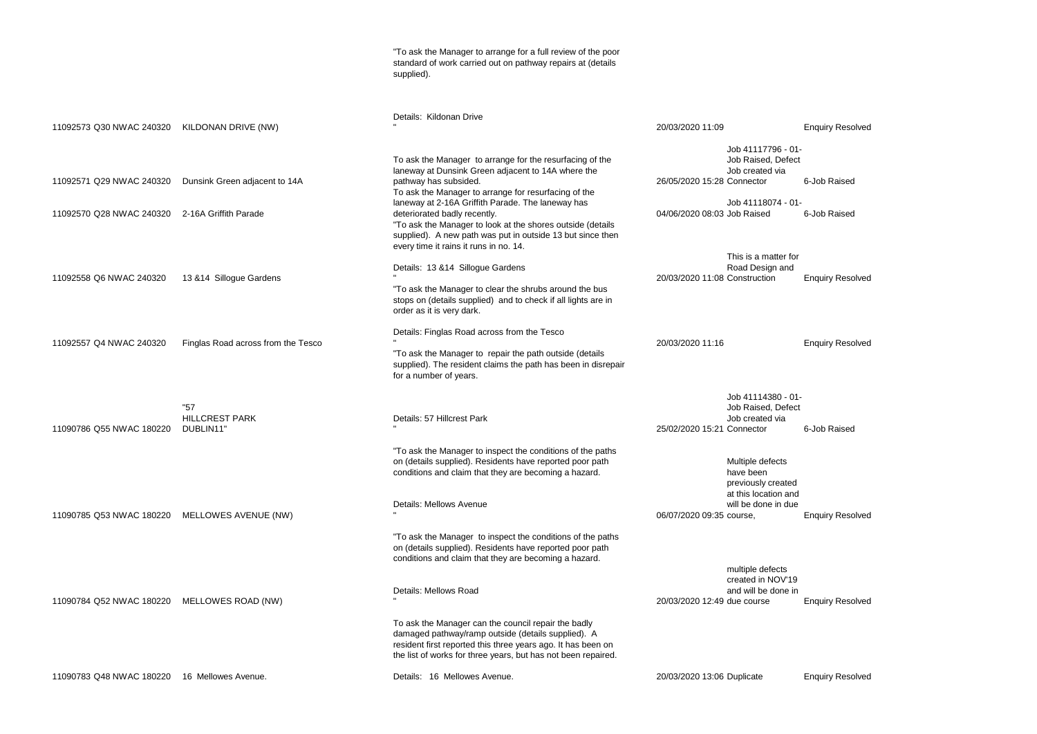|                                                      |                                                        | "To ask the Manager to arrange for a full review of the poor<br>standard of work carried out on pathway repairs at (details<br>supplied).                                                                                                                                                                                                                                                                                                                  |                                                                                                                                                |                              |
|------------------------------------------------------|--------------------------------------------------------|------------------------------------------------------------------------------------------------------------------------------------------------------------------------------------------------------------------------------------------------------------------------------------------------------------------------------------------------------------------------------------------------------------------------------------------------------------|------------------------------------------------------------------------------------------------------------------------------------------------|------------------------------|
| 11092573 Q30 NWAC 240320                             | KILDONAN DRIVE (NW)                                    | Details: Kildonan Drive                                                                                                                                                                                                                                                                                                                                                                                                                                    | 20/03/2020 11:09                                                                                                                               | <b>Enquiry Resolved</b>      |
| 11092571 Q29 NWAC 240320<br>11092570 Q28 NWAC 240320 | Dunsink Green adjacent to 14A<br>2-16A Griffith Parade | To ask the Manager to arrange for the resurfacing of the<br>laneway at Dunsink Green adjacent to 14A where the<br>pathway has subsided.<br>To ask the Manager to arrange for resurfacing of the<br>laneway at 2-16A Griffith Parade. The laneway has<br>deteriorated badly recently.<br>"To ask the Manager to look at the shores outside (details<br>supplied). A new path was put in outside 13 but since then<br>every time it rains it runs in no. 14. | Job 41117796 - 01-<br>Job Raised, Defect<br>Job created via<br>26/05/2020 15:28 Connector<br>Job 41118074 - 01-<br>04/06/2020 08:03 Job Raised | 6-Job Raised<br>6-Job Raised |
| 11092558 Q6 NWAC 240320                              | 13 & 14 Sillogue Gardens                               | Details: 13 & 14 Sillogue Gardens<br>"To ask the Manager to clear the shrubs around the bus<br>stops on (details supplied) and to check if all lights are in<br>order as it is very dark.                                                                                                                                                                                                                                                                  | This is a matter for<br>Road Design and<br>20/03/2020 11:08 Construction                                                                       | <b>Enquiry Resolved</b>      |
| 11092557 Q4 NWAC 240320                              | Finglas Road across from the Tesco                     | Details: Finglas Road across from the Tesco<br>"To ask the Manager to repair the path outside (details<br>supplied). The resident claims the path has been in disrepair<br>for a number of years.                                                                                                                                                                                                                                                          | 20/03/2020 11:16                                                                                                                               | <b>Enquiry Resolved</b>      |
| 11090786 Q55 NWAC 180220                             | "57<br><b>HILLCREST PARK</b><br>DUBLIN11"              | Details: 57 Hillcrest Park<br>"To ask the Manager to inspect the conditions of the paths<br>on (details supplied). Residents have reported poor path                                                                                                                                                                                                                                                                                                       | Job 41114380 - 01-<br>Job Raised, Defect<br>Job created via<br>25/02/2020 15:21 Connector<br>Multiple defects                                  | 6-Job Raised                 |
| 11090785 Q53 NWAC 180220                             | MELLOWES AVENUE (NW)                                   | conditions and claim that they are becoming a hazard.<br>Details: Mellows Avenue<br>"To ask the Manager to inspect the conditions of the paths                                                                                                                                                                                                                                                                                                             | have been<br>previously created<br>at this location and<br>will be done in due<br>06/07/2020 09:35 course,                                     | <b>Enquiry Resolved</b>      |
| 11090784 Q52 NWAC 180220                             | MELLOWES ROAD (NW)                                     | on (details supplied). Residents have reported poor path<br>conditions and claim that they are becoming a hazard.<br>Details: Mellows Road                                                                                                                                                                                                                                                                                                                 | multiple defects<br>created in NOV'19<br>and will be done in<br>20/03/2020 12:49 due course                                                    | <b>Enquiry Resolved</b>      |
| 11090783 Q48 NWAC 180220                             | 16 Mellowes Avenue.                                    | To ask the Manager can the council repair the badly<br>damaged pathway/ramp outside (details supplied). A<br>resident first reported this three years ago. It has been on<br>the list of works for three years, but has not been repaired.<br>Details: 16 Mellowes Avenue.                                                                                                                                                                                 | 20/03/2020 13:06 Duplicate                                                                                                                     | <b>Enquiry Resolved</b>      |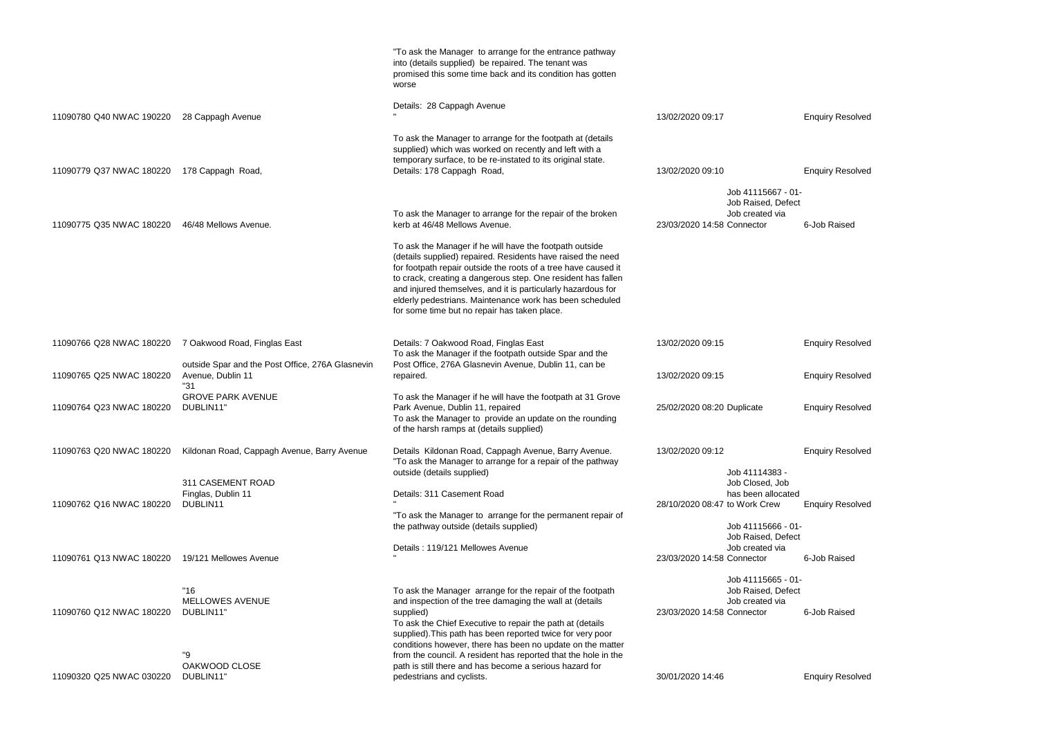|                          |                                                                                  | "To ask the Manager to arrange for the entrance pathway<br>into (details supplied) be repaired. The tenant was<br>promised this some time back and its condition has gotten<br>worse                                                                                                                                                                                                                                                 |                                                                                                             |  |
|--------------------------|----------------------------------------------------------------------------------|--------------------------------------------------------------------------------------------------------------------------------------------------------------------------------------------------------------------------------------------------------------------------------------------------------------------------------------------------------------------------------------------------------------------------------------|-------------------------------------------------------------------------------------------------------------|--|
| 11090780 Q40 NWAC 190220 | 28 Cappagh Avenue                                                                | Details: 28 Cappagh Avenue                                                                                                                                                                                                                                                                                                                                                                                                           | 13/02/2020 09:17                                                                                            |  |
| 11090779 Q37 NWAC 180220 | 178 Cappagh Road,                                                                | To ask the Manager to arrange for the footpath at (details<br>supplied) which was worked on recently and left with a<br>temporary surface, to be re-instated to its original state.<br>Details: 178 Cappagh Road,                                                                                                                                                                                                                    | 13/02/2020 09:10                                                                                            |  |
| 11090775 Q35 NWAC 180220 | 46/48 Mellows Avenue.                                                            | To ask the Manager to arrange for the repair of the broken<br>kerb at 46/48 Mellows Avenue.                                                                                                                                                                                                                                                                                                                                          | Job 41115667 - 0<br>Job Raised, Defe<br>Job created via<br>23/03/2020 14:58 Connector                       |  |
|                          |                                                                                  | To ask the Manager if he will have the footpath outside<br>(details supplied) repaired. Residents have raised the need<br>for footpath repair outside the roots of a tree have caused it<br>to crack, creating a dangerous step. One resident has fallen<br>and injured themselves, and it is particularly hazardous for<br>elderly pedestrians. Maintenance work has been scheduled<br>for some time but no repair has taken place. |                                                                                                             |  |
| 11090766 Q28 NWAC 180220 | 7 Oakwood Road, Finglas East<br>outside Spar and the Post Office, 276A Glasnevin | Details: 7 Oakwood Road, Finglas East<br>To ask the Manager if the footpath outside Spar and the<br>Post Office, 276A Glasnevin Avenue, Dublin 11, can be                                                                                                                                                                                                                                                                            | 13/02/2020 09:15                                                                                            |  |
| 11090765 Q25 NWAC 180220 | Avenue, Dublin 11<br>"31                                                         | repaired.                                                                                                                                                                                                                                                                                                                                                                                                                            | 13/02/2020 09:15                                                                                            |  |
| 11090764 Q23 NWAC 180220 | <b>GROVE PARK AVENUE</b><br>DUBLIN11"                                            | To ask the Manager if he will have the footpath at 31 Grove<br>Park Avenue, Dublin 11, repaired<br>To ask the Manager to provide an update on the rounding<br>of the harsh ramps at (details supplied)                                                                                                                                                                                                                               | 25/02/2020 08:20 Duplicate                                                                                  |  |
| 11090763 Q20 NWAC 180220 | Kildonan Road, Cappagh Avenue, Barry Avenue                                      | Details Kildonan Road, Cappagh Avenue, Barry Avenue.<br>"To ask the Manager to arrange for a repair of the pathway                                                                                                                                                                                                                                                                                                                   | 13/02/2020 09:12                                                                                            |  |
| 11090762 Q16 NWAC 180220 | 311 CASEMENT ROAD<br>Finglas, Dublin 11<br>DUBLIN11                              | outside (details supplied)<br>Details: 311 Casement Road<br>"To ask the Manager to arrange for the permanent repair of<br>the pathway outside (details supplied)                                                                                                                                                                                                                                                                     | Job 41114383 -<br>Job Closed, Job<br>has been allocate<br>28/10/2020 08:47 to Work Crew<br>Job 41115666 - 0 |  |
| 11090761 Q13 NWAC 180220 | 19/121 Mellowes Avenue                                                           | Details: 119/121 Mellowes Avenue                                                                                                                                                                                                                                                                                                                                                                                                     | Job Raised, Defe<br>Job created via<br>23/03/2020 14:58 Connector                                           |  |
| 11090760 Q12 NWAC 180220 | "16"<br>MELLOWES AVENUE<br>DUBLIN11"<br>"9                                       | To ask the Manager arrange for the repair of the footpath<br>and inspection of the tree damaging the wall at (details<br>supplied)<br>To ask the Chief Executive to repair the path at (details<br>supplied). This path has been reported twice for very poor<br>conditions however, there has been no update on the matter<br>from the council. A resident has reported that the hole in the                                        | Job 41115665 - 0<br>Job Raised, Defe<br>Job created via<br>23/03/2020 14:58 Connector                       |  |
| 11090320 Q25 NWAC 030220 | OAKWOOD CLOSE<br>DUBLIN11"                                                       | path is still there and has become a serious hazard for<br>pedestrians and cyclists.                                                                                                                                                                                                                                                                                                                                                 | 30/01/2020 14:46                                                                                            |  |

## Enquiry Resolved

```
37 - 01 -Defect
/ia
      6-Job Raised
```
**Enquiry Resolved** 

**Enquiry Resolved** 

**Enquiry Resolved** 

Enquiry Resolved

# $3-$

pcated **Enquiry Resolved** 

6 - 01-Defect /ia 6-Job Raised

5 - 01-Defect via 6-Job Raised